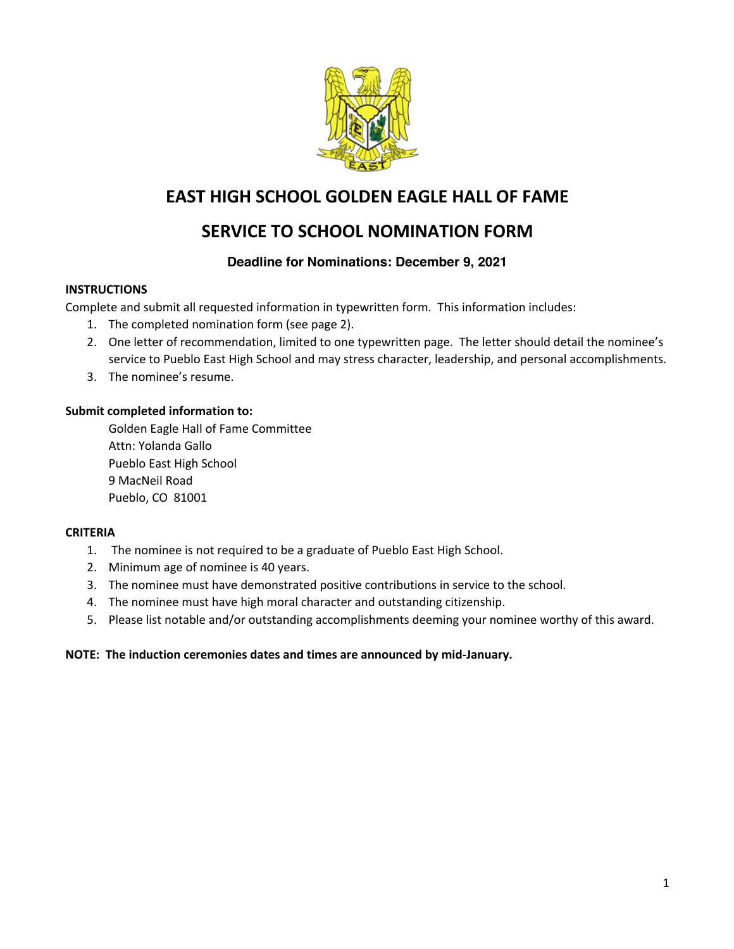

# **EAST HIGH SCHOOL GOLDEN EAGLE HALL OF FAME**

# **SERVICE TO SCHOOL NOMINATION FORM**

### **Deadline for Nominations: December 9, 2021**

### **INSTRUCTIONS**

Complete and submit all requested information in typewritten form. This information includes:

- 1. The completed nomination form (see page 2).
- 2. One letter of recommendation, limited to one typewritten page. The letter should detail the nominee's service to Pueblo East High School and may stress character, leadership, and personal accomplishments.
- 3. The nominee's resume.

### **Submit completed information to:**

Golden Eagle Hall of Fame Committee Attn: Yolanda Gallo Pueblo East High School 9 MacNeil Road Pueblo, CO 81001

### **CRITERIA**

- 1. The nominee is not required to be a graduate of Pueblo East High School.
- 2. Minimum age of nominee is 40 years.
- 3. The nominee must have demonstrated positive contributions in service to the school.
- 4. The nominee must have high moral character and outstanding citizenship.
- 5. Please list notable and/or outstanding accomplishments deeming your nominee worthy of this award.

#### **NOTE: The induction ceremonies dates and times are announced by mid-January.**